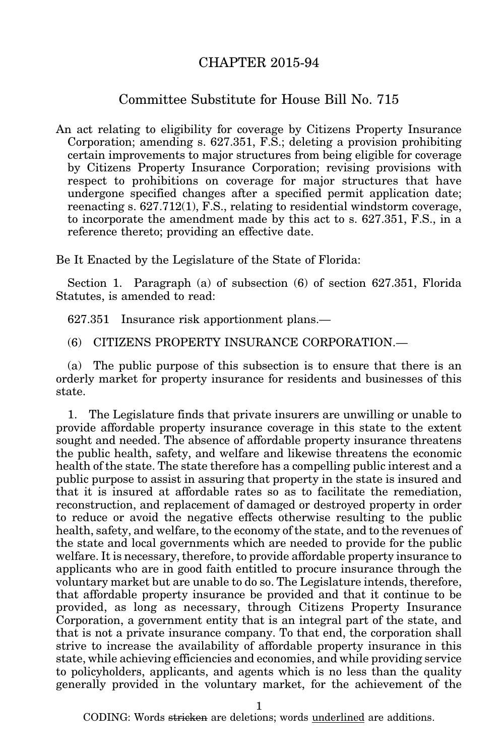## CHAPTER 2015-94

## Committee Substitute for House Bill No. 715

An act relating to eligibility for coverage by Citizens Property Insurance Corporation; amending s. 627.351, F.S.; deleting a provision prohibiting certain improvements to major structures from being eligible for coverage by Citizens Property Insurance Corporation; revising provisions with respect to prohibitions on coverage for major structures that have undergone specified changes after a specified permit application date; reenacting s. 627.712(1), F.S., relating to residential windstorm coverage, to incorporate the amendment made by this act to s. 627.351, F.S., in a reference thereto; providing an effective date.

Be It Enacted by the Legislature of the State of Florida:

Section 1. Paragraph (a) of subsection (6) of section 627.351, Florida Statutes, is amended to read:

627.351 Insurance risk apportionment plans.—

(6) CITIZENS PROPERTY INSURANCE CORPORATION.—

(a) The public purpose of this subsection is to ensure that there is an orderly market for property insurance for residents and businesses of this state.

1. The Legislature finds that private insurers are unwilling or unable to provide affordable property insurance coverage in this state to the extent sought and needed. The absence of affordable property insurance threatens the public health, safety, and welfare and likewise threatens the economic health of the state. The state therefore has a compelling public interest and a public purpose to assist in assuring that property in the state is insured and that it is insured at affordable rates so as to facilitate the remediation, reconstruction, and replacement of damaged or destroyed property in order to reduce or avoid the negative effects otherwise resulting to the public health, safety, and welfare, to the economy of the state, and to the revenues of the state and local governments which are needed to provide for the public welfare. It is necessary, therefore, to provide affordable property insurance to applicants who are in good faith entitled to procure insurance through the voluntary market but are unable to do so. The Legislature intends, therefore, that affordable property insurance be provided and that it continue to be provided, as long as necessary, through Citizens Property Insurance Corporation, a government entity that is an integral part of the state, and that is not a private insurance company. To that end, the corporation shall strive to increase the availability of affordable property insurance in this state, while achieving efficiencies and economies, and while providing service to policyholders, applicants, and agents which is no less than the quality generally provided in the voluntary market, for the achievement of the

CODING: Words stricken are deletions; words underlined are additions.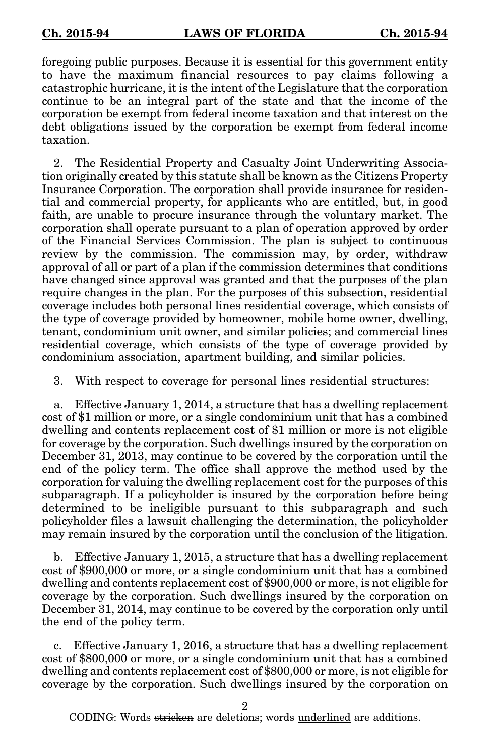foregoing public purposes. Because it is essential for this government entity to have the maximum financial resources to pay claims following a catastrophic hurricane, it is the intent of the Legislature that the corporation continue to be an integral part of the state and that the income of the corporation be exempt from federal income taxation and that interest on the debt obligations issued by the corporation be exempt from federal income taxation.

2. The Residential Property and Casualty Joint Underwriting Association originally created by this statute shall be known as the Citizens Property Insurance Corporation. The corporation shall provide insurance for residential and commercial property, for applicants who are entitled, but, in good faith, are unable to procure insurance through the voluntary market. The corporation shall operate pursuant to a plan of operation approved by order of the Financial Services Commission. The plan is subject to continuous review by the commission. The commission may, by order, withdraw approval of all or part of a plan if the commission determines that conditions have changed since approval was granted and that the purposes of the plan require changes in the plan. For the purposes of this subsection, residential coverage includes both personal lines residential coverage, which consists of the type of coverage provided by homeowner, mobile home owner, dwelling, tenant, condominium unit owner, and similar policies; and commercial lines residential coverage, which consists of the type of coverage provided by condominium association, apartment building, and similar policies.

3. With respect to coverage for personal lines residential structures:

a. Effective January 1, 2014, a structure that has a dwelling replacement cost of \$1 million or more, or a single condominium unit that has a combined dwelling and contents replacement cost of \$1 million or more is not eligible for coverage by the corporation. Such dwellings insured by the corporation on December 31, 2013, may continue to be covered by the corporation until the end of the policy term. The office shall approve the method used by the corporation for valuing the dwelling replacement cost for the purposes of this subparagraph. If a policyholder is insured by the corporation before being determined to be ineligible pursuant to this subparagraph and such policyholder files a lawsuit challenging the determination, the policyholder may remain insured by the corporation until the conclusion of the litigation.

b. Effective January 1, 2015, a structure that has a dwelling replacement cost of \$900,000 or more, or a single condominium unit that has a combined dwelling and contents replacement cost of \$900,000 or more, is not eligible for coverage by the corporation. Such dwellings insured by the corporation on December 31, 2014, may continue to be covered by the corporation only until the end of the policy term.

c. Effective January 1, 2016, a structure that has a dwelling replacement cost of \$800,000 or more, or a single condominium unit that has a combined dwelling and contents replacement cost of \$800,000 or more, is not eligible for coverage by the corporation. Such dwellings insured by the corporation on

2

CODING: Words stricken are deletions; words underlined are additions.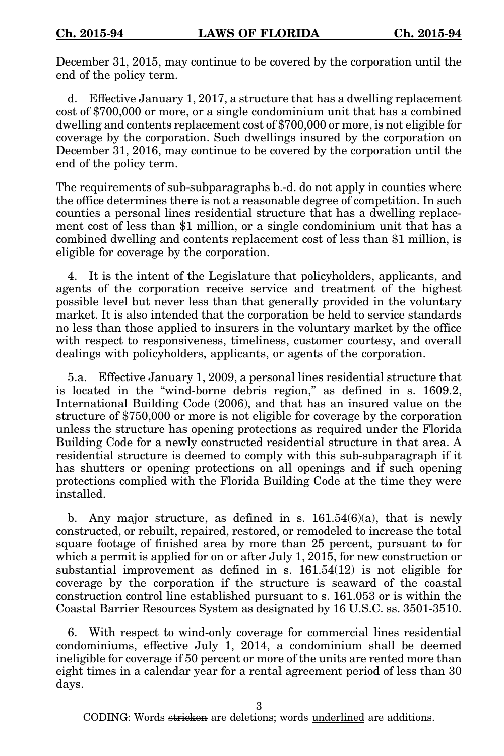December 31, 2015, may continue to be covered by the corporation until the end of the policy term.

d. Effective January 1, 2017, a structure that has a dwelling replacement cost of \$700,000 or more, or a single condominium unit that has a combined dwelling and contents replacement cost of \$700,000 or more, is not eligible for coverage by the corporation. Such dwellings insured by the corporation on December 31, 2016, may continue to be covered by the corporation until the end of the policy term.

The requirements of sub-subparagraphs b.-d. do not apply in counties where the office determines there is not a reasonable degree of competition. In such counties a personal lines residential structure that has a dwelling replacement cost of less than \$1 million, or a single condominium unit that has a combined dwelling and contents replacement cost of less than \$1 million, is eligible for coverage by the corporation.

4. It is the intent of the Legislature that policyholders, applicants, and agents of the corporation receive service and treatment of the highest possible level but never less than that generally provided in the voluntary market. It is also intended that the corporation be held to service standards no less than those applied to insurers in the voluntary market by the office with respect to responsiveness, timeliness, customer courtesy, and overall dealings with policyholders, applicants, or agents of the corporation.

5.a. Effective January 1, 2009, a personal lines residential structure that is located in the "wind-borne debris region," as defined in s. 1609.2, International Building Code (2006), and that has an insured value on the structure of \$750,000 or more is not eligible for coverage by the corporation unless the structure has opening protections as required under the Florida Building Code for a newly constructed residential structure in that area. A residential structure is deemed to comply with this sub-subparagraph if it has shutters or opening protections on all openings and if such opening protections complied with the Florida Building Code at the time they were installed.

b. Any major structure, as defined in s.  $161.54(6)(a)$ , that is newly constructed, or rebuilt, repaired, restored, or remodeled to increase the total square footage of finished area by more than 25 percent, pursuant to for which a permit is applied for on or after July 1, 2015, for new construction or substantial improvement as defined in s.  $161.54(12)$  is not eligible for coverage by the corporation if the structure is seaward of the coastal construction control line established pursuant to s. 161.053 or is within the Coastal Barrier Resources System as designated by 16 U.S.C. ss. 3501-3510.

6. With respect to wind-only coverage for commercial lines residential condominiums, effective July 1, 2014, a condominium shall be deemed ineligible for coverage if 50 percent or more of the units are rented more than eight times in a calendar year for a rental agreement period of less than 30 days.

CODING: Words stricken are deletions; words underlined are additions.